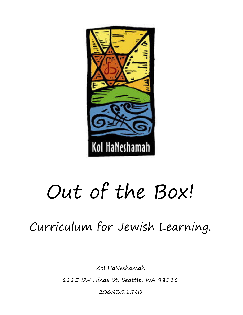

# Out of the Box!

Curriculum for Jewish Learning.

Kol HaNeshamah

6115 SW Hinds St. Seattle, WA 98116

206.935.1590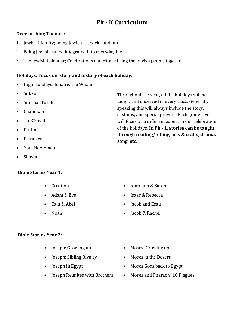# **Pk** - **K** Curriculum

## **Over-arching Themes:**

- 1. Jewish Identity; being Jewish is special and fun.
- 2. Being Jewish can be integrated into everyday life.
- 3. The Jewish Calendar; Celebrations and rituals bring the Jewish people together.

## Holidays: Focus on story and history of each holiday:

- High Holidays: Jonah & the Whale
- Sukkot
- Simchat Torah
- Chanukah
- Tu B'Shvat
- Purim
- Passover
- Yom HaAtzmaut
- Shavuot

## **Bible Stories Year 1:**

- **Creation**
- Adam & Eve
- Cain & Abel
- Noah

# • Abraham & Sarah

- Isaac & Rebecca
- Jacob and Esau
- Jacob & Rachel

## **Bible Stories Year 2:**

- **Joseph: Growing up**
- Joseph: Sibling Rivalry
- Joseph in Egypt
- Joseph Reunites with Brothers
- Moses: Growing up
- Moses in the Desert
- Moses Goes back to Egypt
- Moses and Pharaoh: 10 Plagues

Throughout the year, all the holidays will be taught and observed in every class. Generally speaking this will always include the story, customs, and special prayers. Each grade level will focus on a different aspect in our celebration of the holidays. **In Pk - 1, stories can be taught** through reading/telling, arts & crafts, drama, song, etc.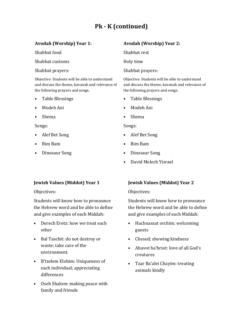# **Pk** - **K** (continued)

# Avodah (Worship) Year 1:

Shabbat food

Shabbat customs

Shabbat prayers:

Objective: Students will be able to understand and discuss the theme, kavanah and relevance of the following prayers and songs.

- Table Blessings
- Modeh Ani
- Shema

Songs:

- Alef Bet Song
- Bim Bam
- Dinosaur Song

# Avodah (Worship) Year 2:

Shabbat rest

Holy time

Shabbat prayers:

Objective: Students will be able to understand and discuss the theme, kavanah and relevance of the following prayers and songs.

- Table Blessings
- Modeh Ani
- Shema

Songs:

- Alef Bet Song
- Bim Bam
- Dinosaur Song
- David Melech Yisrael

# **Jewish Values (Middot) Year 1**

Objectives:

Students will know how to pronounce the Hebrew word and be able to define and give examples of each Middah:

- Derech Eretz: how we treat each other
- Bal Taschit: do not destroy or waste; take care of the environment.
- B'tzelem Elohim: Uniqueness of each individual; appreciating differences
- Oseh Shalom: making peace with family and friends

# **Jewish Values (Middot) Year 2**

## Objectives:

Students will know how to pronounce the Hebrew word and be able to define and give examples of each Middah:

- Hachnassat orchim; welcoming guests
- Chesed; showing kindness
- Ahavot ha'briot: love of all God's creatures
- Tzar Ba'alei Chayim: treating animals kindly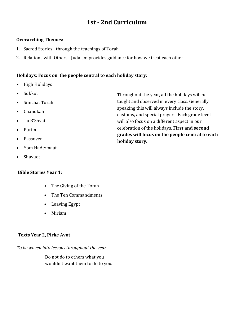# **1st - 2nd Curriculum**

#### **Overarching Themes:**

- 1. Sacred Stories through the teachings of Torah
- 2. Relations with Others Judaism provides guidance for how we treat each other

## Holidays: Focus on the people central to each holiday story:

- High Holidays
- Sukkot
- Simchat Torah
- Chanukah
- Tu B'Shvat
- Purim
- Passover
- Yom HaAtzmaut
- Shavuot

## **Bible Stories Year 1:**

- The Giving of the Torah
- The Ten Commandments
- Leaving Egypt
- Miriam

## **Texts Year 2, Pirke Avot**

To be woven into lessons throughout the year:

 Do not do to others what you wouldn't want them to do to you. Throughout the year, all the holidays will be taught and observed in every class. Generally speaking this will always include the story, customs, and special prayers. Each grade level will also focus on a different aspect in our celebration of the holidays. First and second grades will focus on the people central to each **holiday story.**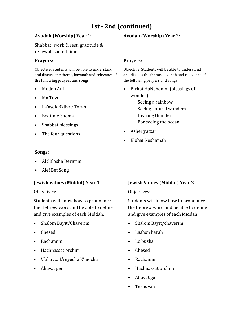# **1st** - 2nd (continued)

#### Avodah (Worship) Year 1:

Shabbat: work & rest; gratitude & renewal; sacred time.

#### **Prayers:**

Objective: Students will be able to understand and discuss the theme, kavanah and relevance of the following prayers and songs.

- Modeh Ani
- Ma Tovu
- La'asok B'divre Torah
- Bedtime Shema
- Shabbat blessings
- The four questions

#### Songs:

- Al Shlosha Devarim
- Alef Bet Song

#### **Jewish Values (Middot) Year 1**

Objectives:

Students will know how to pronounce the Hebrew word and be able to define and give examples of each Middah:

- Shalom Bayit/Chaverim
- Chesed
- Rachamim
- Hachnassat orchim
- V'ahavta L'reyecha K'mocha
- Ahavat ger

#### Prayers:

Objective: Students will be able to understand and discuss the theme, kavanah and relevance of the following prayers and songs.

• Birkot HaNehenim (blessings of wonder)

> Seeing a rainbow Seeing natural wonders Hearing thunder For seeing the ocean

- Asher yatzar
- Elohai Neshamah

#### **Jewish Values (Middot) Year 2**

Objectives:

Students will know how to pronounce the Hebrew word and be able to define and give examples of each Middah:

- Shalom Bayit/chaverim
- Lashon harah
- Lo busha
- Chesed
- Rachamim
- Hachnassat orchim
- Ahavat ger
- Teshuvah

# Avodah (Worship) Year 2: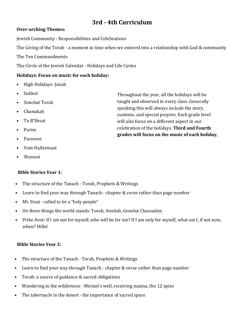# **3rd** - 4th Curriculum

## **Over-arching Themes:**

Jewish Community - Responsibilities and Celebrations

The Giving of the Torah - a moment in time when we entered into a relationship with God & community

The Ten Commandments

The Circle of the Jewish Calendar - Holidays and Life Cycles

# Holidays: Focus on music for each holiday:

- High Holidays: Jonah
- Sukkot
- Simchat Torah
- Chanukah
- Tu B'Shvat
- Purim
- Passover
- Yom HaAtzmaut
- Shavuot

# **Bible Stories Year 1:**

- The structure of the Tanach Torah, Prophets & Writings
- Learn to find your way through Tanach chapter & verse rather than page number
- Mt. Sinai called to be a "holy people"
- On three things the world stands: Torah, Avodah, Gemilut Chassadim
- Pirke Avot: If I am not for myself, who will be for me? If I am only for myself, what am I, if not now, when? Hillel

# **Bible Stories Year 2:**

- The structure of the Tanach Torah, Prophets & Writings
- Learn to find your way through Tanach chapter & verse rather than page number
- Torah: a source of guidance & sacred obligations
- Wandering in the wilderness Miriam's well, receiving manna, the 12 spies
- The tabernacle in the desert the importance of sacred space

Throughout the year, all the holidays will be taught and observed in every class. Generally speaking this will always include the story, customs, and special prayers. Each grade level will also focus on a different aspect in our celebration of the holidays. Third and Fourth grades will focus on the music of each holiday,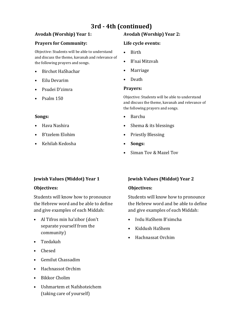# **3rd** - 4th (continued)

## **Avodah (Worship) Year 1:**

## **Prayers for Community:**

Objective: Students will be able to understand and discuss the theme, kavanah and relevance of the following prayers and songs.

- Birchot HaShachar
- Eilu Devarim
- Psudei D'zimra
- Psalm 150

## **Songs:**

- Hava Nashira
- B'tzelem Elohim
- Kehilah Kedosha

# Avodah (Worship) Year 2:

#### Life cycle events:

- Birth
- B'nai Mitzvah
- Marriage
- Death

## **Prayers:**

Objective: Students will be able to understand and discuss the theme, kavanah and relevance of the following prayers and songs.

- Barchu
- Shema & its blessings
- Priestly Blessing
- **Songs:**
- Siman Tov & Mazel Tov

# **Jewish Values (Middot) Year 1**

## **Objectives:**

Students will know how to pronounce the Hebrew word and be able to define and give examples of each Middah:

- Al Tifros min ha'zibor (don't separate yourself from the community)
- Tzedakah
- Chesed
- Gemilut Chassadim
- Hachnassot Orchim
- Bikkor Cholim
- Ushmartem et Nafshoteichem (taking care of yourself)

# **Jewish Values (Middot) Year 2**

## **Objectives:**

Students will know how to pronounce the Hebrew word and be able to define and give examples of each Middah:

- Ivdu HaShem B'simcha
- Kiddush HaShem
- Hachnassat Orchim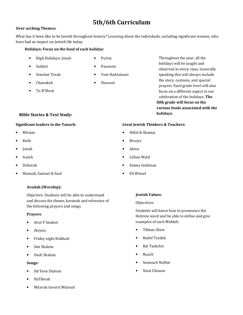# **5th/6th Curriculum**

#### **Over-arching Themes:**

What has it been like to be Jewish throughout history? Learning about the individuals, including significant women, who have had an impact on Jewish life today.

#### Holidays: Focus on the food of each holiday:

- High Holidays: Jonah
- Sukkot
- Simchat Torah
- Chanukah
- Tu B'Shvat

#### **Bible Stories & Text Study:**

#### **Significant leaders in the Tanach:**

- Miriam
- Ruth
- Jonah
- Isaiah
- Deborah
- Hannah, Samuel & Saul

#### Avodah (Worship):

Objective: Students will be able to understand and discuss the theme, kavanah and relevance of the following prayers and songs.

#### **Prayers**:

- Avot V'imahot
- Aleynu
- Friday night Kiddush
- Sim Shalom
- Oseh Shalom

#### Songs:

- Od Yavo Shalom
- HaTikvah
- Mitzvah Gererit Mitzvah
- Purim
- Passover
- Yom HaAtzmaut
- Shavuot

Throughout the year, all the holidays will be taught and observed in every class. Generally speaking this will always include the story, customs, and special prayers. Each grade level will also focus on a different aspect in our celebration of the holidays. The fifth grade will focus on the **various foods associated with the holidays.** 

#### **Great Jewish Thinkers & Teachers:**

- Hillel & Shamai
- Brurya
- Akiva
- Lillian Wald
- Emma Goldman

#### **Jewish Values:**

Objectives:

Students will know how to pronounce the Hebrew word and be able to define and give examples of each Middah:

- Tikkun Olam
- Rodef Tzedek
- Bal Tashchit
- Ruach
- Someach Noflim
- Sinat Chinam

• Eli Wiesel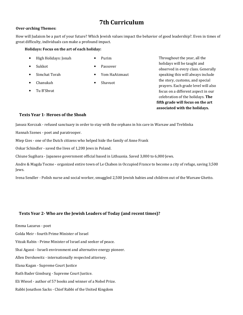# **7th Curriculum**

#### **Over-arching Themes:**

How will Judaism be a part of your future? Which Jewish values impact the behavior of good leadership?. Even in times of great difficulty, individuals can make a profound impact.

#### Holidays: Focus on the art of each holiday:

- High Holidays: Jonah
- Purim

- Sukkot
- Simchat Torah

• Passover • Yom HaAtzmaut

• Shavuot

- Chanukah
- Tu B'Shvat

Throughout the year, all the holidays will be taught and observed in every class. Generally speaking this will always include the story, customs, and special prayers. Each grade level will also focus on a different aspect in our celebration of the holidays. The fifth grade will focus on the art associated with the holidays.

#### **Texts Year 1- Heroes of the Shoah**

Janusz Korczak - refused sanctuary in order to stay with the orphans in his care in Warsaw and Treblinka

Hannah Szenes - poet and paratrooper.

Miep Gies - one of the Dutch citizens who helped hide the family of Anne Frank

Oskar Schindler - saved the lives of 1,200 Jews in Poland.

Chiune Sugihara - Japanese government official based in Lithuania. Saved 3,000 to 6,000 Jews.

Andre & Magda Tocme - organized entire town of Le Chabon in Occupied France to become a city of refuge, saving 3,500 Jews.

Irena Sendler - Polish nurse and social worker, smuggled 2,500 Jewish babies and children out of the Warsaw Ghetto.

#### Texts Year 2- Who are the Jewish Leaders of Today (and recent times)?

Emma Lazarus - poet

Golda Meir - fourth Prime Minister of Israel

Yitzak Rabin - Prime Minister of Israel and seeker of peace.

Shai Agassi - Israeli environment and alternative energy pioneer.

Allen Dershowitz - internationally respected attorney.

Elana Kagan - Supreme Court Justice

Ruth Bader Ginsburg - Supreme Court Justice.

Eli Wiesel - author of 57 books and winner of a Nobel Prize.

Rabbi Jonathon Sacks - Chief Rabbi of the United Kingdom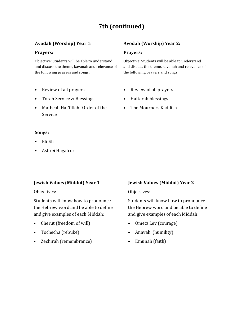# **7th (continued)**

## Avodah (Worship) Year 1:

#### Prayers:

Objective: Students will be able to understand and discuss the theme, kavanah and relevance of the following prayers and songs.

- Review of all prayers
- Torah Service & Blessings
- Matbeah Hat'6illah (Order of the Service

#### Avodah (Worship) Year 2:

#### Prayers:

Objective: Students will be able to understand and discuss the theme, kavanah and relevance of the following prayers and songs.

- Review of all prayers
- Haftarah blessings
- The Mourners Kaddish

#### Songs:

- Eli Eli
- Ashrei Hagafrur

#### **Jewish Values (Middot) Year 1**

Objectives:

Students will know how to pronounce the Hebrew word and be able to define and give examples of each Middah:

- Cherut (freedom of will)
- Tochecha (rebuke)
- Zechirah (remembrance)

## **Jewish Values (Middot) Year 2**

#### Objectives:

Students will know how to pronounce the Hebrew word and be able to define and give examples of each Middah:

- Ometz Lev (courage)
- Anavah (humility)
- Emunah (faith)